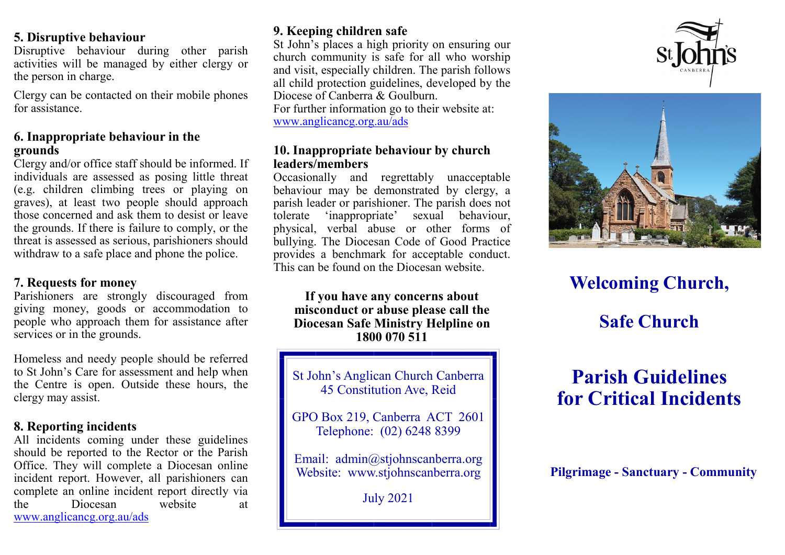#### **5. Disruptive behaviour**

Disruptive behaviour during other parish activities will be managed by either clergy or the person in charge.

Clergy can be contacted on their mobile phones for assistance.

### **6. Inappropriate behaviour in the grounds**

Clergy and/or office staff should be informed. If individuals are assessed as posing little threat (e.g. children climbing trees or playing on graves), at least two people should approach those concerned and ask them to desist or leave the grounds. If there is failure to comply, or the threat is assessed as serious, parishioners should withdraw to a safe place and phone the police.

### **7. Requests for money**

Parishioners are strongly discouraged from giving money, goods or accommodation to people who approach them for assistance after services or in the grounds.

Homeless and needy people should be referred to St John's Care for assessment and help when the Centre is open. Outside these hours, the clergy may assist.

### **8. Reporting incidents**

All incidents coming under these guidelines should be reported to the Rector or the Parish Office. They will complete a Diocesan online incident report. However, all parishioners can complete an online incident report directly via the Diocesan website at [www.anglicancg.org.au/](http://www.anglicancg.org.au/)ads

## **9. Keeping children safe**

St John's places a high priority on ensuring our church community is safe for all who worship and visit, especially children. The parish follows all child protection guidelines, developed by the Diocese of Canberra & Goulburn. For further information go to their website at: www.anglicancg.org.au/ads

### **10. Inappropriate behaviour by church leaders/members**

Occasionally and regrettably unacceptable behaviour may be demonstrated by clergy, a parish leader or parishioner. The parish does not tolerate 'inappropriate' sexual behaviour, physical, verbal abuse or other forms of bullying. The Diocesan Code of Good Practice provides a benchmark for acceptable conduct. This can be found on the Diocesan website.

#### **If you have any concerns about misconduct or abuse please call the Diocesan Safe Ministry Helpline on 1800 070 511**

St John's Anglican Church Canberra 45 Constitution Ave, Reid

GPO Box 219, Canberra ACT 2601 Telephone: (02) 6248 8399

Email: admin@stjohnscanberra.org Website: www.stjohnscanberra.org

July 2021





# **Welcoming Church,**

# **Safe Church**

# **Parish Guidelines for Critical Incidents**

**Pilgrimage - Sanctuary - Community**